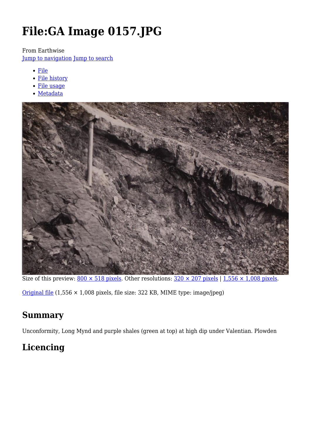# **File:GA Image 0157.JPG**

From Earthwise

[Jump to navigation](#page--1-0) [Jump to search](#page--1-0)

- [File](#page--1-0)
- [File history](#page--1-0)
- [File usage](#page--1-0)
- [Metadata](#page--1-0)



Size of this preview:  $800 \times 518$  pixels. Other resolutions:  $320 \times 207$  pixels | 1,556  $\times$  1,008 pixels.

[Original file](http://earthwise.bgs.ac.uk/images/e/e1/GA_Image_0157.JPG) (1,556 × 1,008 pixels, file size: 322 KB, MIME type: image/jpeg)

### **Summary**

Unconformity, Long Mynd and purple shales (green at top) at high dip under Valentian. Plowden

# **Licencing**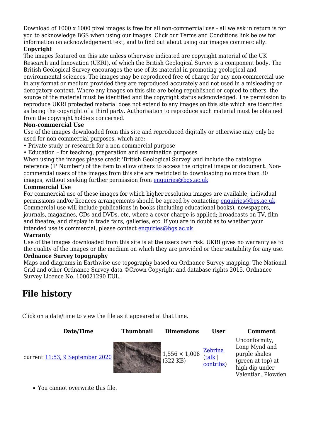Download of 1000 x 1000 pixel images is free for all non-commercial use - all we ask in return is for you to acknowledge BGS when using our images. Click our Terms and Conditions link below for information on acknowledgement text, and to find out about using our images commercially.

#### **Copyright**

The images featured on this site unless otherwise indicated are copyright material of the UK Research and Innovation (UKRI), of which the British Geological Survey is a component body. The British Geological Survey encourages the use of its material in promoting geological and environmental sciences. The images may be reproduced free of charge for any non-commercial use in any format or medium provided they are reproduced accurately and not used in a misleading or derogatory context. Where any images on this site are being republished or copied to others, the source of the material must be identified and the copyright status acknowledged. The permission to reproduce UKRI protected material does not extend to any images on this site which are identified as being the copyright of a third party. Authorisation to reproduce such material must be obtained from the copyright holders concerned.

#### **Non-commercial Use**

Use of the images downloaded from this site and reproduced digitally or otherwise may only be used for non-commercial purposes, which are:-

- Private study or research for a non-commercial purpose
- Education for teaching, preparation and examination purposes

When using the images please credit 'British Geological Survey' and include the catalogue reference ('P Number') of the item to allow others to access the original image or document. Noncommercial users of the images from this site are restricted to downloading no more than 30 images, without seeking further permission from [enquiries@bgs.ac.uk](mailto:enquiries@bgs.ac.uk)

#### **Commercial Use**

For commercial use of these images for which higher resolution images are available, individual permissions and/or licences arrangements should be agreed by contacting [enquiries@bgs.ac.uk](mailto:enquiries@bgs.ac.uk) Commercial use will include publications in books (including educational books), newspapers, journals, magazines, CDs and DVDs, etc, where a cover charge is applied; broadcasts on TV, film and theatre; and display in trade fairs, galleries, etc. If you are in doubt as to whether your intended use is commercial, please contact [enquiries@bgs.ac.uk](mailto:enquiries@bgs.ac.uk)

#### **Warranty**

Use of the images downloaded from this site is at the users own risk. UKRI gives no warranty as to the quality of the images or the medium on which they are provided or their suitability for any use. **Ordnance Survey topography**

Maps and diagrams in Earthwise use topography based on Ordnance Survey mapping. The National Grid and other Ordnance Survey data ©Crown Copyright and database rights 2015. Ordnance Survey Licence No. 100021290 EUL.

### **File history**

Click on a date/time to view the file as it appeared at that time.



You cannot overwrite this file.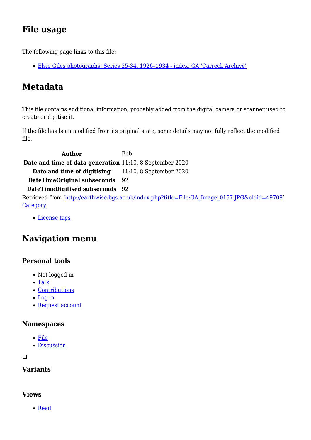# **File usage**

The following page links to this file:

[Elsie Giles photographs: Series 25-34. 1926–1934 - index, GA 'Carreck Archive'](http://earthwise.bgs.ac.uk/index.php/Elsie_Giles_photographs:_Series_25-34._1926%E2%80%931934_-_index,_GA_%27Carreck_Archive%27)

# **Metadata**

This file contains additional information, probably added from the digital camera or scanner used to create or digitise it.

If the file has been modified from its original state, some details may not fully reflect the modified file.

**Author** Bob **Date and time of data generation** 11:10, 8 September 2020 **Date and time of digitising** 11:10, 8 September 2020 **DateTimeOriginal subseconds** 92 **DateTimeDigitised subseconds** 92 Retrieved from ['http://earthwise.bgs.ac.uk/index.php?title=File:GA\\_Image\\_0157.JPG&oldid=49709](http://earthwise.bgs.ac.uk/index.php?title=File:GA_Image_0157.JPG&oldid=49709)' [Category](http://earthwise.bgs.ac.uk/index.php/Special:Categories):

[License tags](http://earthwise.bgs.ac.uk/index.php/Category:License_tags)

# **Navigation menu**

### **Personal tools**

- Not logged in
- [Talk](http://earthwise.bgs.ac.uk/index.php/Special:MyTalk)
- [Contributions](http://earthwise.bgs.ac.uk/index.php/Special:MyContributions)
- [Log in](http://earthwise.bgs.ac.uk/index.php?title=Special:UserLogin&returnto=File%3AGA+Image+0157.JPG&returntoquery=action%3Dmpdf)
- [Request account](http://earthwise.bgs.ac.uk/index.php/Special:RequestAccount)

### **Namespaces**

- [File](http://earthwise.bgs.ac.uk/index.php/File:GA_Image_0157.JPG)
- [Discussion](http://earthwise.bgs.ac.uk/index.php?title=File_talk:GA_Image_0157.JPG&action=edit&redlink=1)

 $\Box$ 

### **Variants**

### **Views**

• [Read](http://earthwise.bgs.ac.uk/index.php/File:GA_Image_0157.JPG)